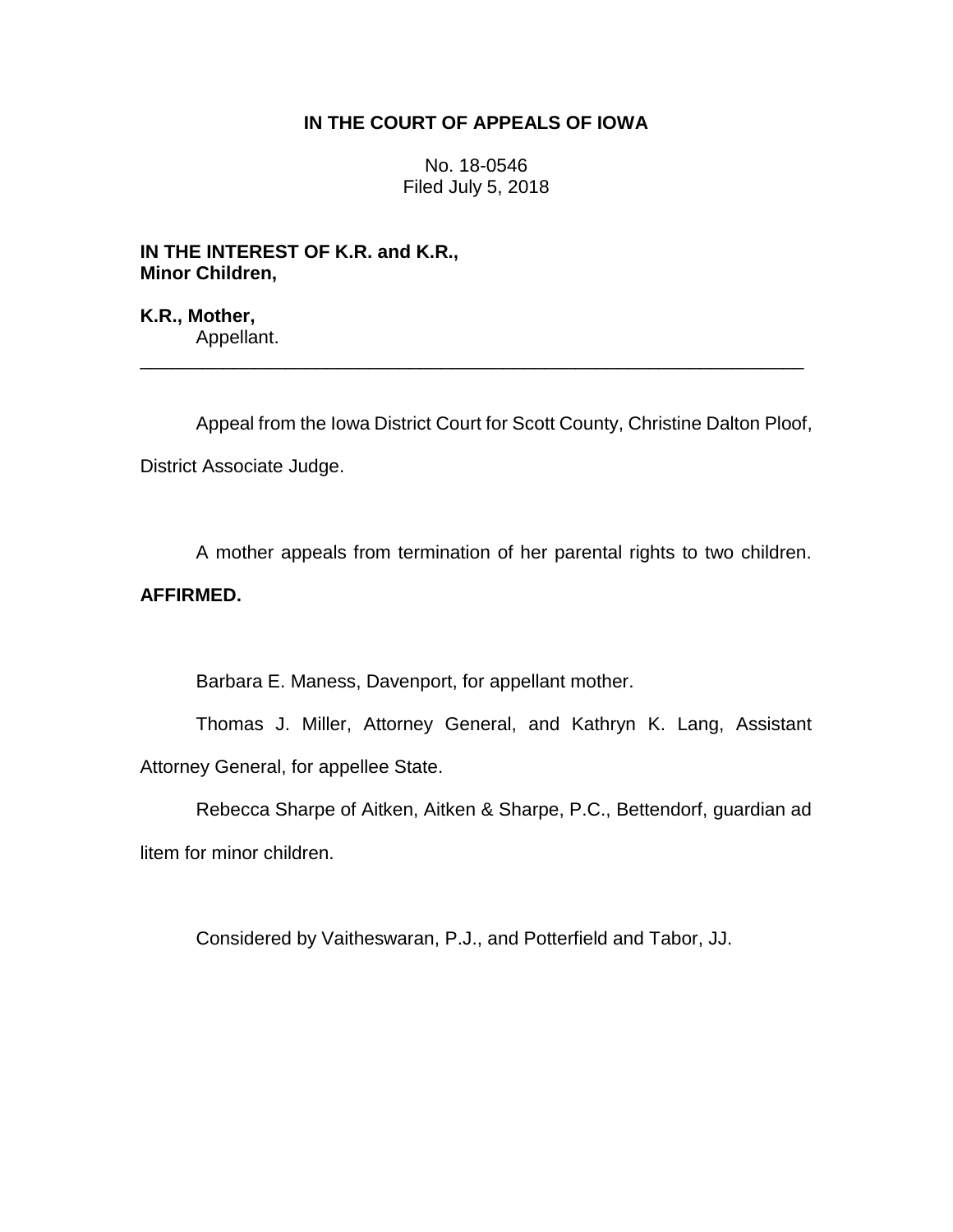## **IN THE COURT OF APPEALS OF IOWA**

No. 18-0546 Filed July 5, 2018

**IN THE INTEREST OF K.R. and K.R., Minor Children,**

**K.R., Mother,** Appellant.

Appeal from the Iowa District Court for Scott County, Christine Dalton Ploof, District Associate Judge.

\_\_\_\_\_\_\_\_\_\_\_\_\_\_\_\_\_\_\_\_\_\_\_\_\_\_\_\_\_\_\_\_\_\_\_\_\_\_\_\_\_\_\_\_\_\_\_\_\_\_\_\_\_\_\_\_\_\_\_\_\_\_\_\_

A mother appeals from termination of her parental rights to two children.

## **AFFIRMED.**

Barbara E. Maness, Davenport, for appellant mother.

Thomas J. Miller, Attorney General, and Kathryn K. Lang, Assistant Attorney General, for appellee State.

Rebecca Sharpe of Aitken, Aitken & Sharpe, P.C., Bettendorf, guardian ad litem for minor children.

Considered by Vaitheswaran, P.J., and Potterfield and Tabor, JJ.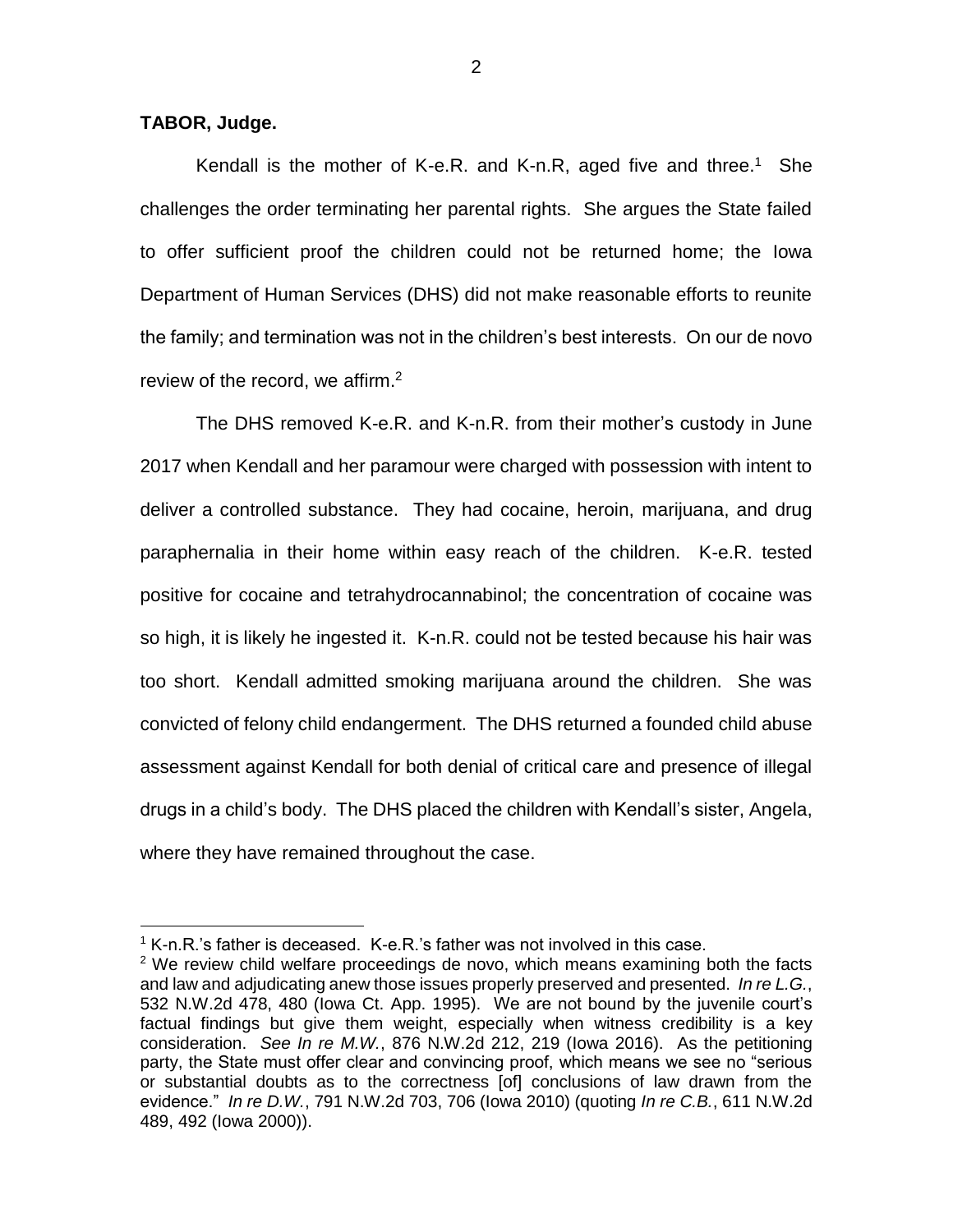**TABOR, Judge.**

 $\overline{a}$ 

Kendall is the mother of K-e.R. and K-n.R, aged five and three.<sup>1</sup> She challenges the order terminating her parental rights. She argues the State failed to offer sufficient proof the children could not be returned home; the Iowa Department of Human Services (DHS) did not make reasonable efforts to reunite the family; and termination was not in the children's best interests. On our de novo review of the record, we affirm.<sup>2</sup>

The DHS removed K-e.R. and K-n.R. from their mother's custody in June 2017 when Kendall and her paramour were charged with possession with intent to deliver a controlled substance. They had cocaine, heroin, marijuana, and drug paraphernalia in their home within easy reach of the children. K-e.R. tested positive for cocaine and tetrahydrocannabinol; the concentration of cocaine was so high, it is likely he ingested it. K-n.R. could not be tested because his hair was too short. Kendall admitted smoking marijuana around the children. She was convicted of felony child endangerment. The DHS returned a founded child abuse assessment against Kendall for both denial of critical care and presence of illegal drugs in a child's body. The DHS placed the children with Kendall's sister, Angela, where they have remained throughout the case.

 $1$  K-n.R.'s father is deceased. K-e.R.'s father was not involved in this case.

 $2$  We review child welfare proceedings de novo, which means examining both the facts and law and adjudicating anew those issues properly preserved and presented. *In re L.G.*, 532 N.W.2d 478, 480 (Iowa Ct. App. 1995). We are not bound by the juvenile court's factual findings but give them weight, especially when witness credibility is a key consideration. *See In re M.W.*, 876 N.W.2d 212, 219 (Iowa 2016). As the petitioning party, the State must offer clear and convincing proof, which means we see no "serious or substantial doubts as to the correctness [of] conclusions of law drawn from the evidence." *In re D.W.*, 791 N.W.2d 703, 706 (Iowa 2010) (quoting *In re C.B.*, 611 N.W.2d 489, 492 (Iowa 2000)).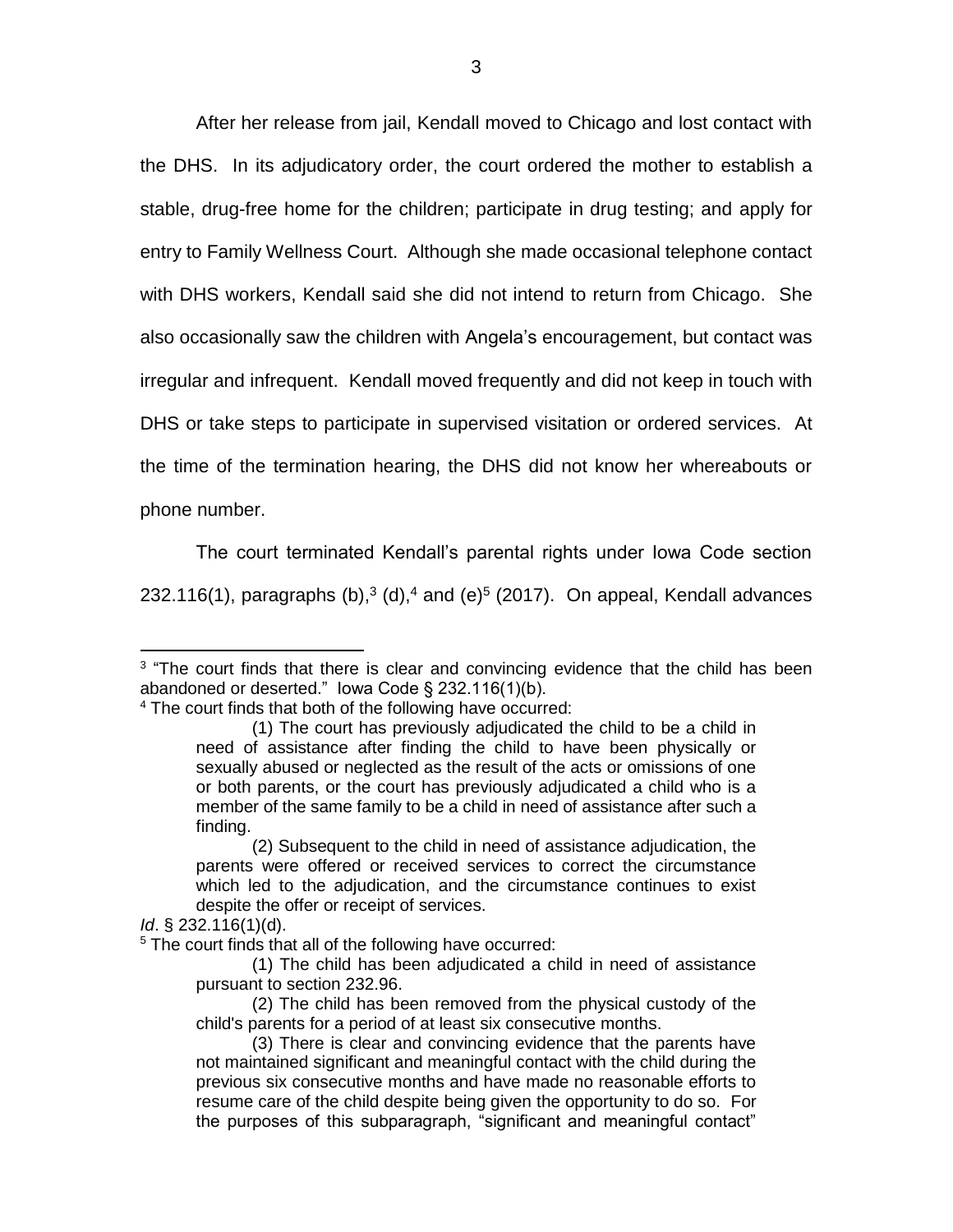After her release from jail, Kendall moved to Chicago and lost contact with the DHS. In its adjudicatory order, the court ordered the mother to establish a stable, drug-free home for the children; participate in drug testing; and apply for entry to Family Wellness Court. Although she made occasional telephone contact with DHS workers, Kendall said she did not intend to return from Chicago. She also occasionally saw the children with Angela's encouragement, but contact was irregular and infrequent. Kendall moved frequently and did not keep in touch with DHS or take steps to participate in supervised visitation or ordered services. At the time of the termination hearing, the DHS did not know her whereabouts or phone number.

The court terminated Kendall's parental rights under Iowa Code section 232.116(1), paragraphs (b), $3$  (d), $4$  and (e) $5$  (2017). On appeal, Kendall advances

*Id*. § 232.116(1)(d).

 $\overline{a}$ 

 $3$  "The court finds that there is clear and convincing evidence that the child has been abandoned or deserted." Iowa Code § 232.116(1)(b).

<sup>&</sup>lt;sup>4</sup> The court finds that both of the following have occurred:

<sup>(1)</sup> The court has previously adjudicated the child to be a child in need of assistance after finding the child to have been physically or sexually abused or neglected as the result of the acts or omissions of one or both parents, or the court has previously adjudicated a child who is a member of the same family to be a child in need of assistance after such a finding.

<sup>(2)</sup> Subsequent to the child in need of assistance adjudication, the parents were offered or received services to correct the circumstance which led to the adjudication, and the circumstance continues to exist despite the offer or receipt of services.

<sup>5</sup> The court finds that all of the following have occurred:

<sup>(1)</sup> The child has been adjudicated a child in need of assistance pursuant to section 232.96.

<sup>(2)</sup> The child has been removed from the physical custody of the child's parents for a period of at least six consecutive months.

<sup>(3)</sup> There is clear and convincing evidence that the parents have not maintained significant and meaningful contact with the child during the previous six consecutive months and have made no reasonable efforts to resume care of the child despite being given the opportunity to do so. For the purposes of this subparagraph, "significant and meaningful contact"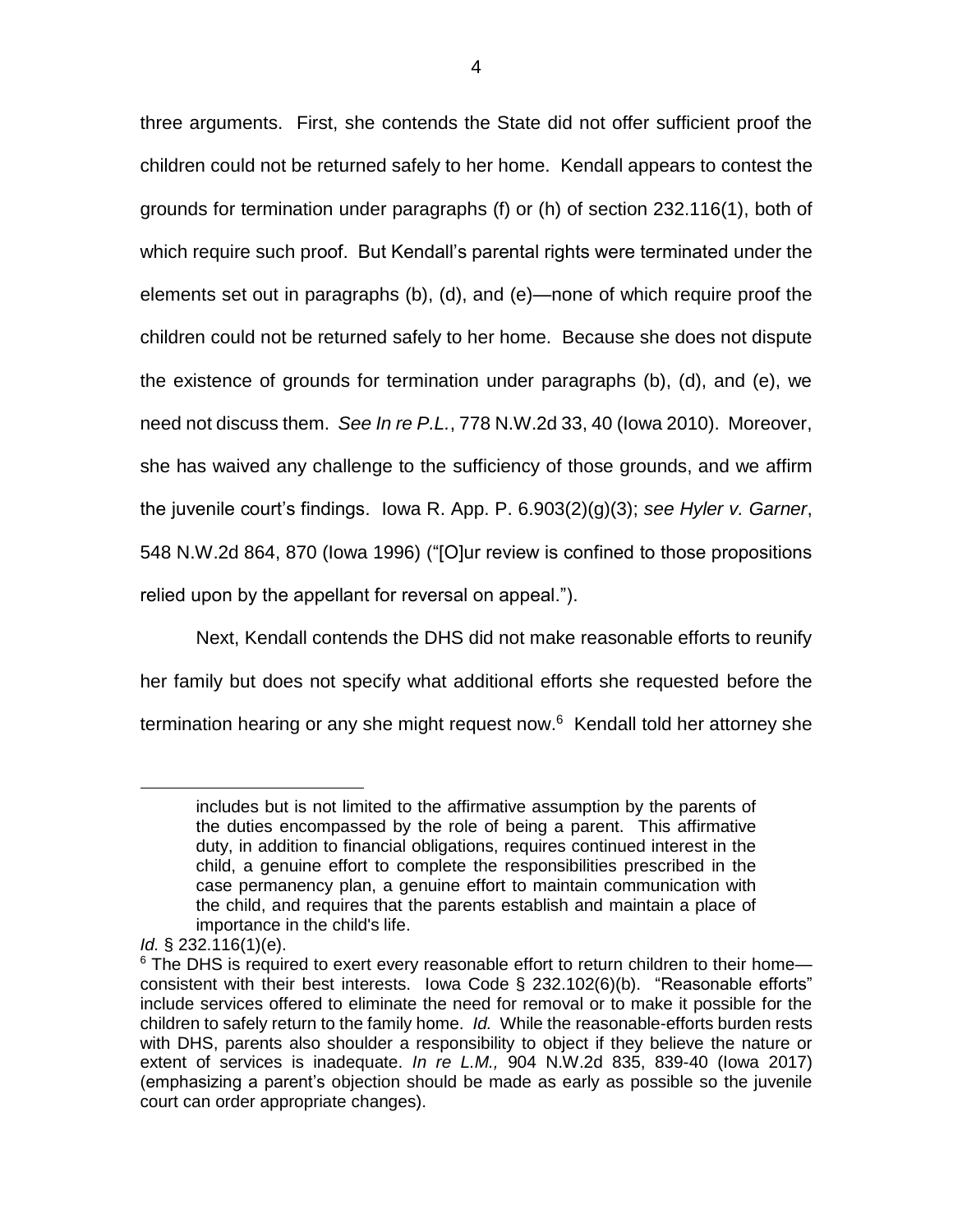three arguments. First, she contends the State did not offer sufficient proof the children could not be returned safely to her home. Kendall appears to contest the grounds for termination under paragraphs (f) or (h) of section 232.116(1), both of which require such proof. But Kendall's parental rights were terminated under the elements set out in paragraphs (b), (d), and (e)—none of which require proof the children could not be returned safely to her home. Because she does not dispute the existence of grounds for termination under paragraphs (b), (d), and (e), we need not discuss them. *See In re P.L.*, 778 N.W.2d 33, 40 (Iowa 2010). Moreover, she has waived any challenge to the sufficiency of those grounds, and we affirm the juvenile court's findings. Iowa R. App. P. 6.903(2)(g)(3); *see Hyler v. Garner*, 548 N.W.2d 864, 870 (Iowa 1996) ("[O]ur review is confined to those propositions relied upon by the appellant for reversal on appeal.").

Next, Kendall contends the DHS did not make reasonable efforts to reunify her family but does not specify what additional efforts she requested before the termination hearing or any she might request now. <sup>6</sup> Kendall told her attorney she

 $\overline{a}$ 

includes but is not limited to the affirmative assumption by the parents of the duties encompassed by the role of being a parent. This affirmative duty, in addition to financial obligations, requires continued interest in the child, a genuine effort to complete the responsibilities prescribed in the case permanency plan, a genuine effort to maintain communication with the child, and requires that the parents establish and maintain a place of importance in the child's life.

*Id.* § 232.116(1)(e).

 $6$  The DHS is required to exert every reasonable effort to return children to their home consistent with their best interests. Iowa Code § 232.102(6)(b). "Reasonable efforts" include services offered to eliminate the need for removal or to make it possible for the children to safely return to the family home. *Id.* While the reasonable-efforts burden rests with DHS, parents also shoulder a responsibility to object if they believe the nature or extent of services is inadequate. *In re L.M.,* 904 N.W.2d 835, 839-40 (Iowa 2017) (emphasizing a parent's objection should be made as early as possible so the juvenile court can order appropriate changes).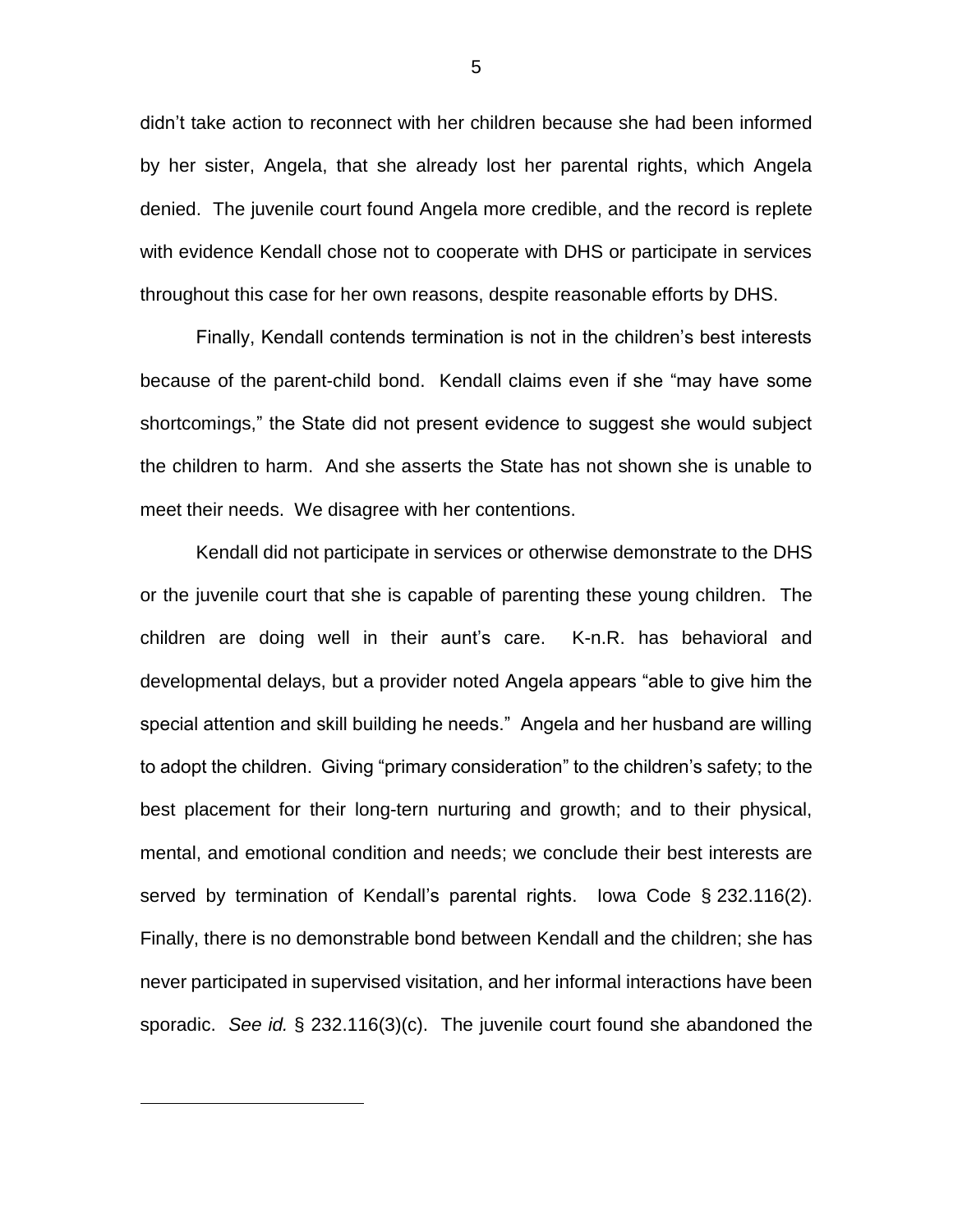didn't take action to reconnect with her children because she had been informed by her sister, Angela, that she already lost her parental rights, which Angela denied. The juvenile court found Angela more credible, and the record is replete with evidence Kendall chose not to cooperate with DHS or participate in services throughout this case for her own reasons, despite reasonable efforts by DHS.

Finally, Kendall contends termination is not in the children's best interests because of the parent-child bond. Kendall claims even if she "may have some shortcomings," the State did not present evidence to suggest she would subject the children to harm. And she asserts the State has not shown she is unable to meet their needs. We disagree with her contentions.

Kendall did not participate in services or otherwise demonstrate to the DHS or the juvenile court that she is capable of parenting these young children. The children are doing well in their aunt's care. K-n.R. has behavioral and developmental delays, but a provider noted Angela appears "able to give him the special attention and skill building he needs." Angela and her husband are willing to adopt the children. Giving "primary consideration" to the children's safety; to the best placement for their long-tern nurturing and growth; and to their physical, mental, and emotional condition and needs; we conclude their best interests are served by termination of Kendall's parental rights. Iowa Code § 232.116(2). Finally, there is no demonstrable bond between Kendall and the children; she has never participated in supervised visitation, and her informal interactions have been sporadic. *See id.* § 232.116(3)(c). The juvenile court found she abandoned the

 $\overline{a}$ 

5